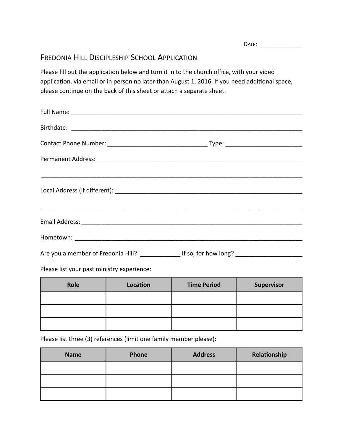DATE: \_\_\_\_\_\_\_\_\_\_\_\_\_ 

# FREDONIA HILL DISCIPLESHIP SCHOOL APPLICATION

Please fill out the application below and turn it in to the church office, with your video application, via email or in person no later than August 1, 2016. If you need additional space, please continue on the back of this sheet or attach a separate sheet.

| Are you a member of Fredonia Hill? ________________ If so, for how long? __________________________ |  |
|-----------------------------------------------------------------------------------------------------|--|

Please list your past ministry experience:

| Role | Location | <b>Time Period</b> | <b>Supervisor</b> |
|------|----------|--------------------|-------------------|
|      |          |                    |                   |
|      |          |                    |                   |
|      |          |                    |                   |

Please list three (3) references (limit one family member please):

| <b>Name</b> | Phone | <b>Address</b> | Relationship |
|-------------|-------|----------------|--------------|
|             |       |                |              |
|             |       |                |              |
|             |       |                |              |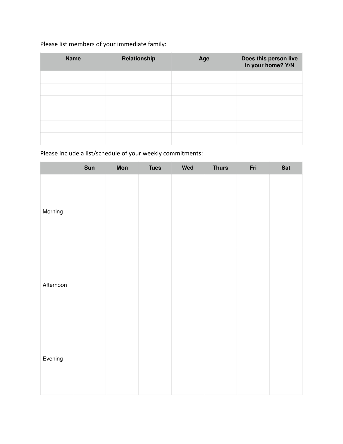## Please list members of your immediate family:

| <b>Name</b> | Relationship | Age | Does this person live<br>in your home? Y/N |
|-------------|--------------|-----|--------------------------------------------|
|             |              |     |                                            |
|             |              |     |                                            |
|             |              |     |                                            |
|             |              |     |                                            |
|             |              |     |                                            |
|             |              |     |                                            |

## Please include a list/schedule of your weekly commitments:

|           | Sun | <b>Mon</b> | <b>Tues</b> | Wed | <b>Thurs</b> | Fri | Sat |
|-----------|-----|------------|-------------|-----|--------------|-----|-----|
| Morning   |     |            |             |     |              |     |     |
| Afternoon |     |            |             |     |              |     |     |
| Evening   |     |            |             |     |              |     |     |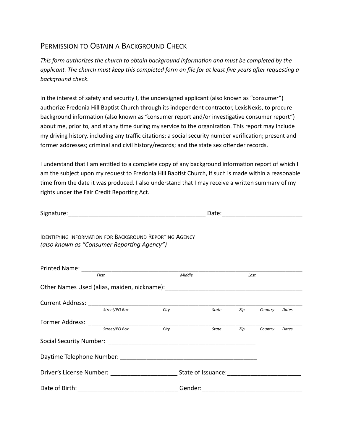#### PERMISSION TO OBTAIN A BACKGROUND CHECK

This form authorizes the church to obtain background information and must be completed by the *applicant.* The church must keep this completed form on file for at least five years after requesting a *background check.* 

In the interest of safety and security I, the undersigned applicant (also known as "consumer") authorize Fredonia Hill Baptist Church through its independent contractor, LexisNexis, to procure background information (also known as "consumer report and/or investigative consumer report") about me, prior to, and at any time during my service to the organization. This report may include my driving history, including any traffic citations; a social security number verification; present and former addresses; criminal and civil history/records; and the state sex offender records.

I understand that I am entitled to a complete copy of any background information report of which I am the subject upon my request to Fredonia Hill Baptist Church, if such is made within a reasonable time from the date it was produced. I also understand that I may receive a written summary of my rights under the Fair Credit Reporting Act.

Signature: Date: \_\_\_\_\_\_\_\_\_\_\_\_\_\_\_\_\_\_\_\_\_\_\_\_\_\_\_\_\_\_\_\_\_\_\_\_\_\_\_\_\_ \_\_\_\_\_\_\_\_\_\_\_\_\_\_\_\_\_\_\_\_\_\_\_\_

IDENTIFYING INFORMATION FOR BACKGROUND REPORTING AGENCY *(also known as "Consumer Reporting Agency")* 

| Printed Name: ________                                                                                                                                                                                                         |                                    |         |                    |     |         |       |
|--------------------------------------------------------------------------------------------------------------------------------------------------------------------------------------------------------------------------------|------------------------------------|---------|--------------------|-----|---------|-------|
| First                                                                                                                                                                                                                          |                                    |         | Middle             |     | Last    |       |
|                                                                                                                                                                                                                                |                                    |         |                    |     |         |       |
| <b>Current Address:</b>                                                                                                                                                                                                        |                                    |         |                    |     |         |       |
|                                                                                                                                                                                                                                | Street/PO Box                      | City    | <b>State</b>       | Zip | Country | Dates |
| Former Address: The Communication of the Communication of the Communication of the Communication of the Communication of the Communication of the Communication of the Communication of the Communication of the Communication |                                    |         |                    |     |         |       |
|                                                                                                                                                                                                                                | Street/PO Box                      | City    | <b>State</b>       | Zip | Country | Dates |
|                                                                                                                                                                                                                                |                                    |         |                    |     |         |       |
|                                                                                                                                                                                                                                | Daytime Telephone Number: ________ |         |                    |     |         |       |
| Driver's License Number: ______________                                                                                                                                                                                        |                                    |         | State of Issuance: |     |         |       |
| Date of Birth:                                                                                                                                                                                                                 |                                    | Gender: |                    |     |         |       |